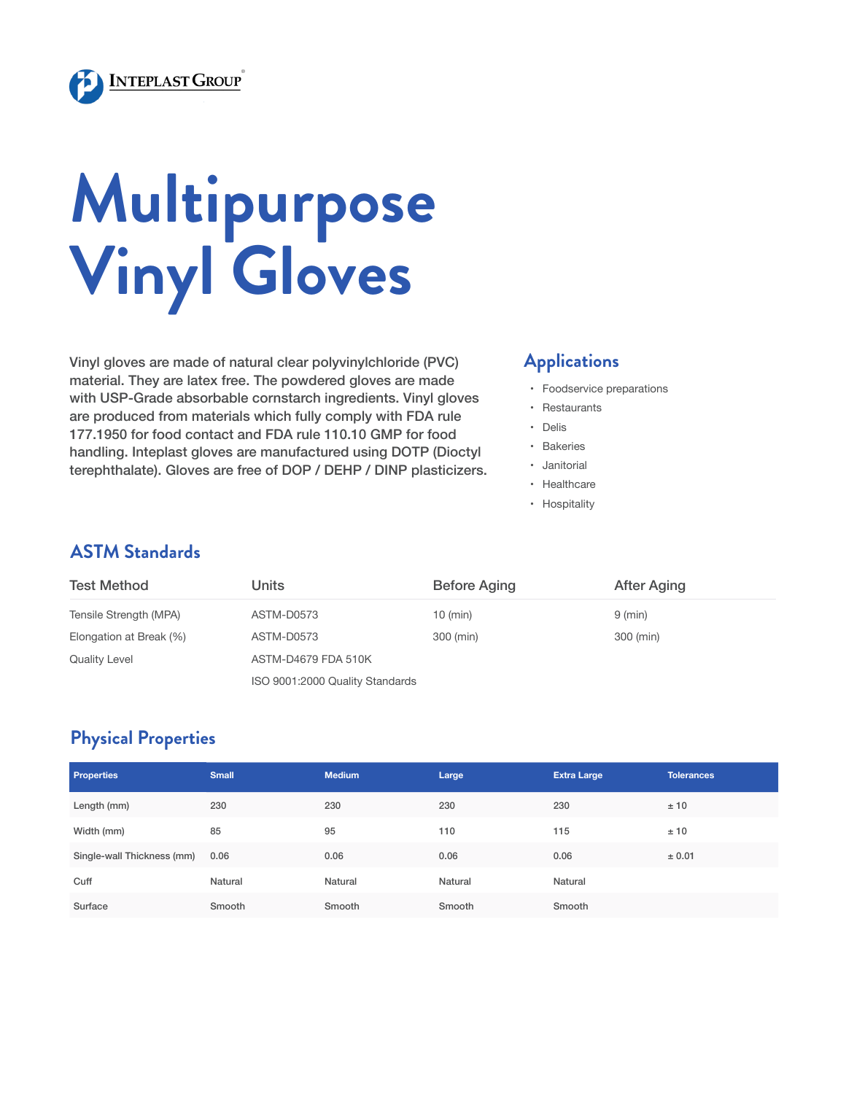

# **Multipurpose Vinyl Gloves**

Vinyl gloves are made of natural clear polyvinylchloride (PVC) material. They are latex free. The powdered gloves are made with USP-Grade absorbable cornstarch ingredients. Vinyl gloves are produced from materials which fully comply with FDA rule 177.1950 for food contact and FDA rule 110.10 GMP for food handling. Inteplast gloves are manufactured using DOTP (Dioctyl terephthalate). Gloves are free of DOP / DEHP / DINP plasticizers.

#### **Applications**

- • Foodservice preparations
- • Restaurants
- • Delis
- • Bakeries
- • Janitorial
- • Healthcare
- • Hospitality

### **ASTM Standards**

| <b>Test Method</b>      | Units                           | <b>Before Aging</b> | After Aging |  |  |  |
|-------------------------|---------------------------------|---------------------|-------------|--|--|--|
| Tensile Strength (MPA)  | ASTM-D0573                      | $10$ (min)          | 9 (min)     |  |  |  |
| Elongation at Break (%) | ASTM-D0573                      | 300 (min)           | 300 (min)   |  |  |  |
| <b>Quality Level</b>    | ASTM-D4679 FDA 510K             |                     |             |  |  |  |
|                         | ISO 9001:2000 Quality Standards |                     |             |  |  |  |

## **Physical Properties**

| <b>Properties</b>          | <b>Small</b> | <b>Medium</b> | Large   | <b>Extra Large</b> | Tolerances |
|----------------------------|--------------|---------------|---------|--------------------|------------|
| Length (mm)                | 230          | 230           | 230     | 230                | ±10        |
| Width (mm)                 | 85           | 95            | 110     | 115                | ±10        |
| Single-wall Thickness (mm) | 0.06         | 0.06          | 0.06    | 0.06               | ± 0.01     |
| Cuff                       | Natural      | Natural       | Natural | Natural            |            |
| Surface                    | Smooth       | Smooth        | Smooth  | Smooth             |            |